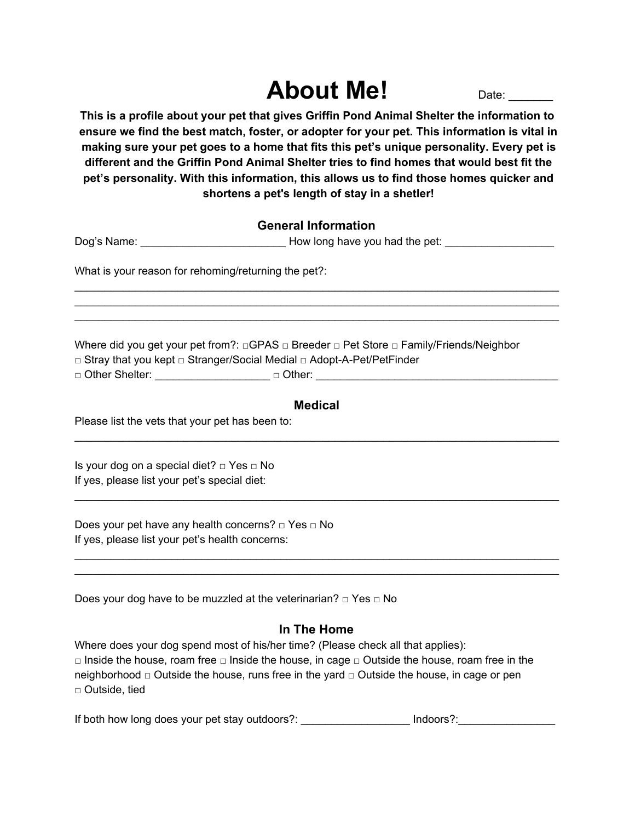# **About Me!** Date:

**This is a profile about your pet that gives Griffin Pond Animal Shelter the information to ensure we find the best match, foster, or adopter for your pet. This information is vital in making sure your pet goes to a home that fits this pet's unique personality. Every pet is different and the Griffin Pond Animal Shelter tries to find homes that would best fit the pet's personality. With this information, this allows us to find those homes quicker and shortens a pet's length of stay in a shetler!**

## **General Information**

Dog's Name: \_\_\_\_\_\_\_\_\_\_\_\_\_\_\_\_\_\_\_\_\_\_\_\_\_\_\_\_\_\_\_\_\_\_How long have you had the pet:

\_\_\_\_\_\_\_\_\_\_\_\_\_\_\_\_\_\_\_\_\_\_\_\_\_\_\_\_\_\_\_\_\_\_\_\_\_\_\_\_\_\_\_\_\_\_\_\_\_\_\_\_\_\_\_\_\_\_\_\_\_\_\_\_\_\_\_\_\_\_\_\_\_\_\_\_\_\_\_\_ \_\_\_\_\_\_\_\_\_\_\_\_\_\_\_\_\_\_\_\_\_\_\_\_\_\_\_\_\_\_\_\_\_\_\_\_\_\_\_\_\_\_\_\_\_\_\_\_\_\_\_\_\_\_\_\_\_\_\_\_\_\_\_\_\_\_\_\_\_\_\_\_\_\_\_\_\_\_\_\_ \_\_\_\_\_\_\_\_\_\_\_\_\_\_\_\_\_\_\_\_\_\_\_\_\_\_\_\_\_\_\_\_\_\_\_\_\_\_\_\_\_\_\_\_\_\_\_\_\_\_\_\_\_\_\_\_\_\_\_\_\_\_\_\_\_\_\_\_\_\_\_\_\_\_\_\_\_\_\_\_

What is your reason for rehoming/returning the pet?:

Where did you get your pet from?: □GPAS □ Breeder □ Pet Store □ Family/Friends/Neighbor □ Stray that you kept □ Stranger/Social Medial □ Adopt-A-Pet/PetFinder

□ Other Shelter: \_\_\_\_\_\_\_\_\_\_\_\_\_\_\_\_\_\_\_ □ Other: \_\_\_\_\_\_\_\_\_\_\_\_\_\_\_\_\_\_\_\_\_\_\_\_\_\_\_\_\_\_\_\_\_\_\_\_\_\_\_\_

#### **Medical**

\_\_\_\_\_\_\_\_\_\_\_\_\_\_\_\_\_\_\_\_\_\_\_\_\_\_\_\_\_\_\_\_\_\_\_\_\_\_\_\_\_\_\_\_\_\_\_\_\_\_\_\_\_\_\_\_\_\_\_\_\_\_\_\_\_\_\_\_\_\_\_\_\_\_\_\_\_\_\_\_

\_\_\_\_\_\_\_\_\_\_\_\_\_\_\_\_\_\_\_\_\_\_\_\_\_\_\_\_\_\_\_\_\_\_\_\_\_\_\_\_\_\_\_\_\_\_\_\_\_\_\_\_\_\_\_\_\_\_\_\_\_\_\_\_\_\_\_\_\_\_\_\_\_\_\_\_\_\_\_\_

\_\_\_\_\_\_\_\_\_\_\_\_\_\_\_\_\_\_\_\_\_\_\_\_\_\_\_\_\_\_\_\_\_\_\_\_\_\_\_\_\_\_\_\_\_\_\_\_\_\_\_\_\_\_\_\_\_\_\_\_\_\_\_\_\_\_\_\_\_\_\_\_\_\_\_\_\_\_\_\_ \_\_\_\_\_\_\_\_\_\_\_\_\_\_\_\_\_\_\_\_\_\_\_\_\_\_\_\_\_\_\_\_\_\_\_\_\_\_\_\_\_\_\_\_\_\_\_\_\_\_\_\_\_\_\_\_\_\_\_\_\_\_\_\_\_\_\_\_\_\_\_\_\_\_\_\_\_\_\_\_

Please list the vets that your pet has been to:

Is your dog on a special diet? □ Yes □ No If yes, please list your pet's special diet:

Does your pet have any health concerns? □ Yes □ No If yes, please list your pet's health concerns:

Does your dog have to be muzzled at the veterinarian? □ Yes □ No

## **In The Home**

Where does your dog spend most of his/her time? (Please check all that applies): □ Inside the house, roam free □ Inside the house, in cage □ Outside the house, roam free in the neighborhood  $\Box$  Outside the house, runs free in the yard  $\Box$  Outside the house, in cage or pen □ Outside, tied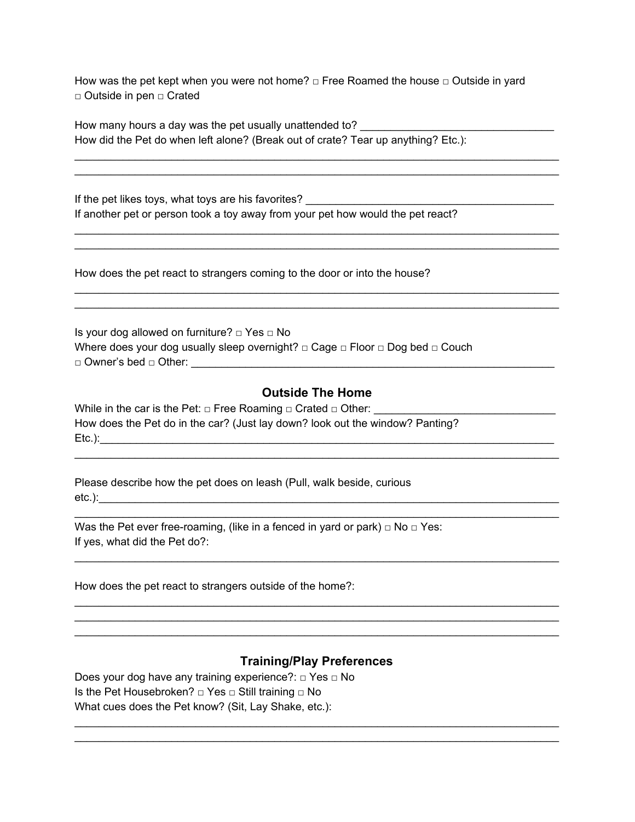How was the pet kept when you were not home?  $\Box$  Free Roamed the house  $\Box$  Outside in yard □ Outside in pen □ Crated

\_\_\_\_\_\_\_\_\_\_\_\_\_\_\_\_\_\_\_\_\_\_\_\_\_\_\_\_\_\_\_\_\_\_\_\_\_\_\_\_\_\_\_\_\_\_\_\_\_\_\_\_\_\_\_\_\_\_\_\_\_\_\_\_\_\_\_\_\_\_\_\_\_\_\_\_\_\_\_\_ \_\_\_\_\_\_\_\_\_\_\_\_\_\_\_\_\_\_\_\_\_\_\_\_\_\_\_\_\_\_\_\_\_\_\_\_\_\_\_\_\_\_\_\_\_\_\_\_\_\_\_\_\_\_\_\_\_\_\_\_\_\_\_\_\_\_\_\_\_\_\_\_\_\_\_\_\_\_\_\_

\_\_\_\_\_\_\_\_\_\_\_\_\_\_\_\_\_\_\_\_\_\_\_\_\_\_\_\_\_\_\_\_\_\_\_\_\_\_\_\_\_\_\_\_\_\_\_\_\_\_\_\_\_\_\_\_\_\_\_\_\_\_\_\_\_\_\_\_\_\_\_\_\_\_\_\_\_\_\_\_ \_\_\_\_\_\_\_\_\_\_\_\_\_\_\_\_\_\_\_\_\_\_\_\_\_\_\_\_\_\_\_\_\_\_\_\_\_\_\_\_\_\_\_\_\_\_\_\_\_\_\_\_\_\_\_\_\_\_\_\_\_\_\_\_\_\_\_\_\_\_\_\_\_\_\_\_\_\_\_\_

\_\_\_\_\_\_\_\_\_\_\_\_\_\_\_\_\_\_\_\_\_\_\_\_\_\_\_\_\_\_\_\_\_\_\_\_\_\_\_\_\_\_\_\_\_\_\_\_\_\_\_\_\_\_\_\_\_\_\_\_\_\_\_\_\_\_\_\_\_\_\_\_\_\_\_\_\_\_\_\_ \_\_\_\_\_\_\_\_\_\_\_\_\_\_\_\_\_\_\_\_\_\_\_\_\_\_\_\_\_\_\_\_\_\_\_\_\_\_\_\_\_\_\_\_\_\_\_\_\_\_\_\_\_\_\_\_\_\_\_\_\_\_\_\_\_\_\_\_\_\_\_\_\_\_\_\_\_\_\_\_

How many hours a day was the pet usually unattended to? How did the Pet do when left alone? (Break out of crate? Tear up anything? Etc.):

If the pet likes toys, what toys are his favorites? If another pet or person took a toy away from your pet how would the pet react?

How does the pet react to strangers coming to the door or into the house?

Is your dog allowed on furniture? □ Yes □ No Where does your dog usually sleep overnight? □ Cage □ Floor □ Dog bed □ Couch □ Owner's bed □ Other: \_\_\_\_\_\_\_\_\_\_\_\_\_\_\_\_\_\_\_\_\_\_\_\_\_\_\_\_\_\_\_\_\_\_\_\_\_\_\_\_\_\_\_\_\_\_\_\_\_\_\_\_\_\_\_\_\_\_\_\_

#### **Outside The Home**

\_\_\_\_\_\_\_\_\_\_\_\_\_\_\_\_\_\_\_\_\_\_\_\_\_\_\_\_\_\_\_\_\_\_\_\_\_\_\_\_\_\_\_\_\_\_\_\_\_\_\_\_\_\_\_\_\_\_\_\_\_\_\_\_\_\_\_\_\_\_\_\_\_\_\_\_\_\_\_\_

\_\_\_\_\_\_\_\_\_\_\_\_\_\_\_\_\_\_\_\_\_\_\_\_\_\_\_\_\_\_\_\_\_\_\_\_\_\_\_\_\_\_\_\_\_\_\_\_\_\_\_\_\_\_\_\_\_\_\_\_\_\_\_\_\_\_\_\_\_\_\_\_\_\_\_\_\_\_\_\_

\_\_\_\_\_\_\_\_\_\_\_\_\_\_\_\_\_\_\_\_\_\_\_\_\_\_\_\_\_\_\_\_\_\_\_\_\_\_\_\_\_\_\_\_\_\_\_\_\_\_\_\_\_\_\_\_\_\_\_\_\_\_\_\_\_\_\_\_\_\_\_\_\_\_\_\_\_\_\_\_

\_\_\_\_\_\_\_\_\_\_\_\_\_\_\_\_\_\_\_\_\_\_\_\_\_\_\_\_\_\_\_\_\_\_\_\_\_\_\_\_\_\_\_\_\_\_\_\_\_\_\_\_\_\_\_\_\_\_\_\_\_\_\_\_\_\_\_\_\_\_\_\_\_\_\_\_\_\_\_\_ \_\_\_\_\_\_\_\_\_\_\_\_\_\_\_\_\_\_\_\_\_\_\_\_\_\_\_\_\_\_\_\_\_\_\_\_\_\_\_\_\_\_\_\_\_\_\_\_\_\_\_\_\_\_\_\_\_\_\_\_\_\_\_\_\_\_\_\_\_\_\_\_\_\_\_\_\_\_\_\_ \_\_\_\_\_\_\_\_\_\_\_\_\_\_\_\_\_\_\_\_\_\_\_\_\_\_\_\_\_\_\_\_\_\_\_\_\_\_\_\_\_\_\_\_\_\_\_\_\_\_\_\_\_\_\_\_\_\_\_\_\_\_\_\_\_\_\_\_\_\_\_\_\_\_\_\_\_\_\_\_

While in the car is the Pet:  $\Box$  Free Roaming  $\Box$  Crated  $\Box$  Other: How does the Pet do in the car? (Just lay down? look out the window? Panting? Etc.):\_\_\_\_\_\_\_\_\_\_\_\_\_\_\_\_\_\_\_\_\_\_\_\_\_\_\_\_\_\_\_\_\_\_\_\_\_\_\_\_\_\_\_\_\_\_\_\_\_\_\_\_\_\_\_\_\_\_\_\_\_\_\_\_\_\_\_\_\_\_\_\_\_\_\_

Please describe how the pet does on leash (Pull, walk beside, curious  $etc.).$ 

Was the Pet ever free-roaming, (like in a fenced in yard or park)  $\Box$  No  $\Box$  Yes: If yes, what did the Pet do?:

How does the pet react to strangers outside of the home?:

## **Training/Play Preferences**

\_\_\_\_\_\_\_\_\_\_\_\_\_\_\_\_\_\_\_\_\_\_\_\_\_\_\_\_\_\_\_\_\_\_\_\_\_\_\_\_\_\_\_\_\_\_\_\_\_\_\_\_\_\_\_\_\_\_\_\_\_\_\_\_\_\_\_\_\_\_\_\_\_\_\_\_\_\_\_\_ \_\_\_\_\_\_\_\_\_\_\_\_\_\_\_\_\_\_\_\_\_\_\_\_\_\_\_\_\_\_\_\_\_\_\_\_\_\_\_\_\_\_\_\_\_\_\_\_\_\_\_\_\_\_\_\_\_\_\_\_\_\_\_\_\_\_\_\_\_\_\_\_\_\_\_\_\_\_\_\_

Does your dog have any training experience?: □ Yes □ No Is the Pet Housebroken? □ Yes □ Still training □ No What cues does the Pet know? (Sit, Lay Shake, etc.):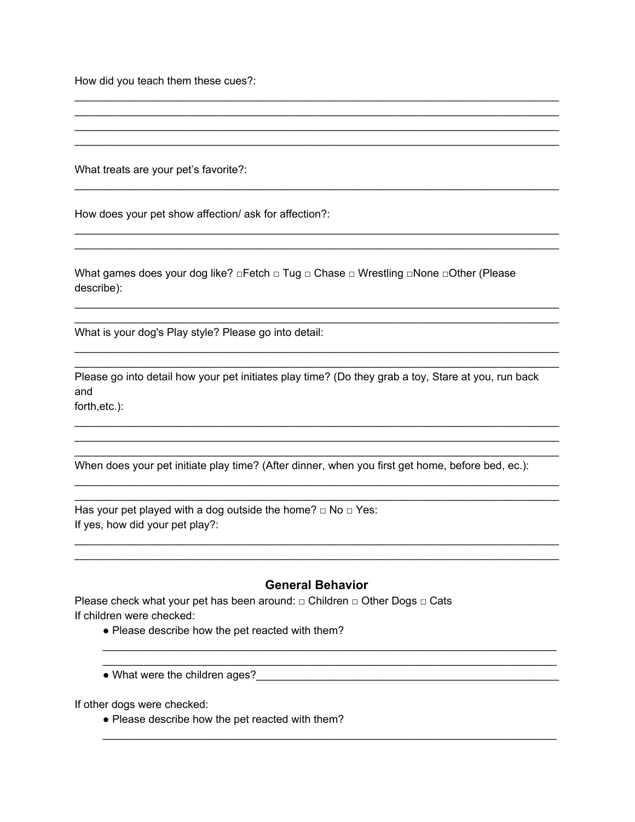How did you teach them these cues?:

What treats are your pet's favorite?:

How does your pet show affection/ ask for affection?:

What games does your dog like? □Fetch □ Tug □ Chase □ Wrestling □None □Other (Please describe):

What is your dog's Play style? Please go into detail:

Please go into detail how your pet initiates play time? (Do they grab a toy, Stare at you, run back and forth, etc.):

<u> 1989 - Johann John Stoff, deutscher Stoffen und der Stoffen und der Stoffen und der Stoffen und der Stoffen</u>

When does your pet initiate play time? (After dinner, when you first get home, before bed, ec.):

Has your pet played with a dog outside the home?  $\Box$  No  $\Box$  Yes: If yes, how did your pet play?:

#### **General Behavior**

Please check what your pet has been around: □ Children □ Other Dogs □ Cats If children were checked:

- Please describe how the pet reacted with them?
- 

If other dogs were checked:

• Please describe how the pet reacted with them?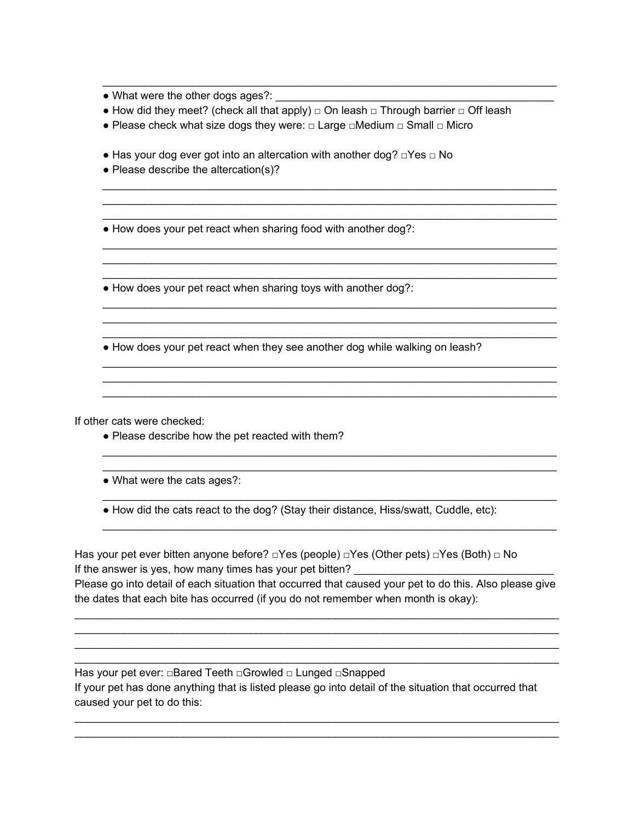• What were the other dogs ages?:

• How did they meet? (check all that apply)  $\Box$  On leash  $\Box$  Through barrier  $\Box$  Off leash

\_\_\_\_\_\_\_\_\_\_\_\_\_\_\_\_\_\_\_\_\_\_\_\_\_\_\_\_\_\_\_\_\_\_\_\_\_\_\_\_\_\_\_\_\_\_\_\_\_\_\_\_\_\_\_\_\_\_\_\_\_\_\_\_\_\_\_\_\_\_\_\_\_\_\_

\_\_\_\_\_\_\_\_\_\_\_\_\_\_\_\_\_\_\_\_\_\_\_\_\_\_\_\_\_\_\_\_\_\_\_\_\_\_\_\_\_\_\_\_\_\_\_\_\_\_\_\_\_\_\_\_\_\_\_\_\_\_\_\_\_\_\_\_\_\_\_\_\_\_\_ \_\_\_\_\_\_\_\_\_\_\_\_\_\_\_\_\_\_\_\_\_\_\_\_\_\_\_\_\_\_\_\_\_\_\_\_\_\_\_\_\_\_\_\_\_\_\_\_\_\_\_\_\_\_\_\_\_\_\_\_\_\_\_\_\_\_\_\_\_\_\_\_\_\_\_ \_\_\_\_\_\_\_\_\_\_\_\_\_\_\_\_\_\_\_\_\_\_\_\_\_\_\_\_\_\_\_\_\_\_\_\_\_\_\_\_\_\_\_\_\_\_\_\_\_\_\_\_\_\_\_\_\_\_\_\_\_\_\_\_\_\_\_\_\_\_\_\_\_\_\_

\_\_\_\_\_\_\_\_\_\_\_\_\_\_\_\_\_\_\_\_\_\_\_\_\_\_\_\_\_\_\_\_\_\_\_\_\_\_\_\_\_\_\_\_\_\_\_\_\_\_\_\_\_\_\_\_\_\_\_\_\_\_\_\_\_\_\_\_\_\_\_\_\_\_\_ \_\_\_\_\_\_\_\_\_\_\_\_\_\_\_\_\_\_\_\_\_\_\_\_\_\_\_\_\_\_\_\_\_\_\_\_\_\_\_\_\_\_\_\_\_\_\_\_\_\_\_\_\_\_\_\_\_\_\_\_\_\_\_\_\_\_\_\_\_\_\_\_\_\_\_

\_\_\_\_\_\_\_\_\_\_\_\_\_\_\_\_\_\_\_\_\_\_\_\_\_\_\_\_\_\_\_\_\_\_\_\_\_\_\_\_\_\_\_\_\_\_\_\_\_\_\_\_\_\_\_\_\_\_\_\_\_\_\_\_\_\_\_\_\_\_\_\_\_\_\_ \_\_\_\_\_\_\_\_\_\_\_\_\_\_\_\_\_\_\_\_\_\_\_\_\_\_\_\_\_\_\_\_\_\_\_\_\_\_\_\_\_\_\_\_\_\_\_\_\_\_\_\_\_\_\_\_\_\_\_\_\_\_\_\_\_\_\_\_\_\_\_\_\_\_\_ \_\_\_\_\_\_\_\_\_\_\_\_\_\_\_\_\_\_\_\_\_\_\_\_\_\_\_\_\_\_\_\_\_\_\_\_\_\_\_\_\_\_\_\_\_\_\_\_\_\_\_\_\_\_\_\_\_\_\_\_\_\_\_\_\_\_\_\_\_\_\_\_\_\_\_

\_\_\_\_\_\_\_\_\_\_\_\_\_\_\_\_\_\_\_\_\_\_\_\_\_\_\_\_\_\_\_\_\_\_\_\_\_\_\_\_\_\_\_\_\_\_\_\_\_\_\_\_\_\_\_\_\_\_\_\_\_\_\_\_\_\_\_\_\_\_\_\_\_\_\_ \_\_\_\_\_\_\_\_\_\_\_\_\_\_\_\_\_\_\_\_\_\_\_\_\_\_\_\_\_\_\_\_\_\_\_\_\_\_\_\_\_\_\_\_\_\_\_\_\_\_\_\_\_\_\_\_\_\_\_\_\_\_\_\_\_\_\_\_\_\_\_\_\_\_\_ \_\_\_\_\_\_\_\_\_\_\_\_\_\_\_\_\_\_\_\_\_\_\_\_\_\_\_\_\_\_\_\_\_\_\_\_\_\_\_\_\_\_\_\_\_\_\_\_\_\_\_\_\_\_\_\_\_\_\_\_\_\_\_\_\_\_\_\_\_\_\_\_\_\_\_

\_\_\_\_\_\_\_\_\_\_\_\_\_\_\_\_\_\_\_\_\_\_\_\_\_\_\_\_\_\_\_\_\_\_\_\_\_\_\_\_\_\_\_\_\_\_\_\_\_\_\_\_\_\_\_\_\_\_\_\_\_\_\_\_\_\_\_\_\_\_\_\_\_\_\_ \_\_\_\_\_\_\_\_\_\_\_\_\_\_\_\_\_\_\_\_\_\_\_\_\_\_\_\_\_\_\_\_\_\_\_\_\_\_\_\_\_\_\_\_\_\_\_\_\_\_\_\_\_\_\_\_\_\_\_\_\_\_\_\_\_\_\_\_\_\_\_\_\_\_\_

\_\_\_\_\_\_\_\_\_\_\_\_\_\_\_\_\_\_\_\_\_\_\_\_\_\_\_\_\_\_\_\_\_\_\_\_\_\_\_\_\_\_\_\_\_\_\_\_\_\_\_\_\_\_\_\_\_\_\_\_\_\_\_\_\_\_\_\_\_\_\_\_\_\_\_

\_\_\_\_\_\_\_\_\_\_\_\_\_\_\_\_\_\_\_\_\_\_\_\_\_\_\_\_\_\_\_\_\_\_\_\_\_\_\_\_\_\_\_\_\_\_\_\_\_\_\_\_\_\_\_\_\_\_\_\_\_\_\_\_\_\_\_\_\_\_\_\_\_\_\_

- Please check what size dogs they were: □ Large □Medium □ Small □ Micro
- $\bullet$  Has your dog ever got into an altercation with another dog?  $\Box$ Yes  $\Box$  No
- Please describe the altercation(s)?

• How does your pet react when sharing food with another dog?:

• How does your pet react when sharing toys with another dog?:

• How does your pet react when they see another dog while walking on leash?

If other cats were checked:

- Please describe how the pet reacted with them?
- What were the cats ages?:
- How did the cats react to the dog? (Stay their distance, Hiss/swatt, Cuddle, etc):

Has your pet ever bitten anyone before? □Yes (people) □Yes (Other pets) □Yes (Both) □ No If the answer is yes, how many times has your pet bitten? Please go into detail of each situation that occurred that caused your pet to do this. Also please give the dates that each bite has occurred (if you do not remember when month is okay):

\_\_\_\_\_\_\_\_\_\_\_\_\_\_\_\_\_\_\_\_\_\_\_\_\_\_\_\_\_\_\_\_\_\_\_\_\_\_\_\_\_\_\_\_\_\_\_\_\_\_\_\_\_\_\_\_\_\_\_\_\_\_\_\_\_\_\_\_\_\_\_\_\_\_\_\_\_\_\_\_ \_\_\_\_\_\_\_\_\_\_\_\_\_\_\_\_\_\_\_\_\_\_\_\_\_\_\_\_\_\_\_\_\_\_\_\_\_\_\_\_\_\_\_\_\_\_\_\_\_\_\_\_\_\_\_\_\_\_\_\_\_\_\_\_\_\_\_\_\_\_\_\_\_\_\_\_\_\_\_\_ \_\_\_\_\_\_\_\_\_\_\_\_\_\_\_\_\_\_\_\_\_\_\_\_\_\_\_\_\_\_\_\_\_\_\_\_\_\_\_\_\_\_\_\_\_\_\_\_\_\_\_\_\_\_\_\_\_\_\_\_\_\_\_\_\_\_\_\_\_\_\_\_\_\_\_\_\_\_\_\_ \_\_\_\_\_\_\_\_\_\_\_\_\_\_\_\_\_\_\_\_\_\_\_\_\_\_\_\_\_\_\_\_\_\_\_\_\_\_\_\_\_\_\_\_\_\_\_\_\_\_\_\_\_\_\_\_\_\_\_\_\_\_\_\_\_\_\_\_\_\_\_\_\_\_\_\_\_\_\_\_

Has your pet ever: □Bared Teeth □Growled □ Lunged □Snapped If your pet has done anything that is listed please go into detail of the situation that occurred that caused your pet to do this:

\_\_\_\_\_\_\_\_\_\_\_\_\_\_\_\_\_\_\_\_\_\_\_\_\_\_\_\_\_\_\_\_\_\_\_\_\_\_\_\_\_\_\_\_\_\_\_\_\_\_\_\_\_\_\_\_\_\_\_\_\_\_\_\_\_\_\_\_\_\_\_\_\_\_\_\_\_\_\_\_ \_\_\_\_\_\_\_\_\_\_\_\_\_\_\_\_\_\_\_\_\_\_\_\_\_\_\_\_\_\_\_\_\_\_\_\_\_\_\_\_\_\_\_\_\_\_\_\_\_\_\_\_\_\_\_\_\_\_\_\_\_\_\_\_\_\_\_\_\_\_\_\_\_\_\_\_\_\_\_\_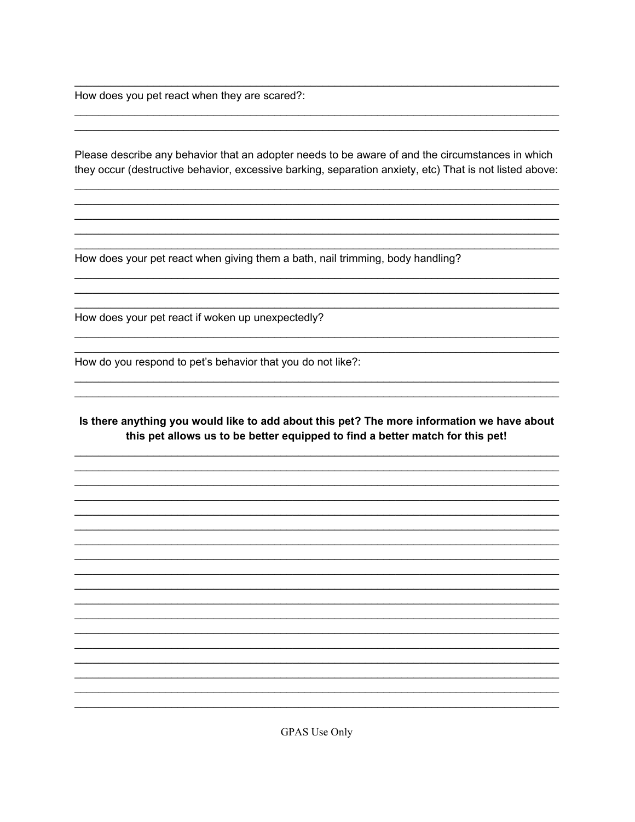How does you pet react when they are scared?:

Please describe any behavior that an adopter needs to be aware of and the circumstances in which they occur (destructive behavior, excessive barking, separation anxiety, etc) That is not listed above:

How does your pet react when giving them a bath, nail trimming, body handling?

How does your pet react if woken up unexpectedly?

How do you respond to pet's behavior that you do not like?:

Is there anything you would like to add about this pet? The more information we have about this pet allows us to be better equipped to find a better match for this pet!

**GPAS Use Only**